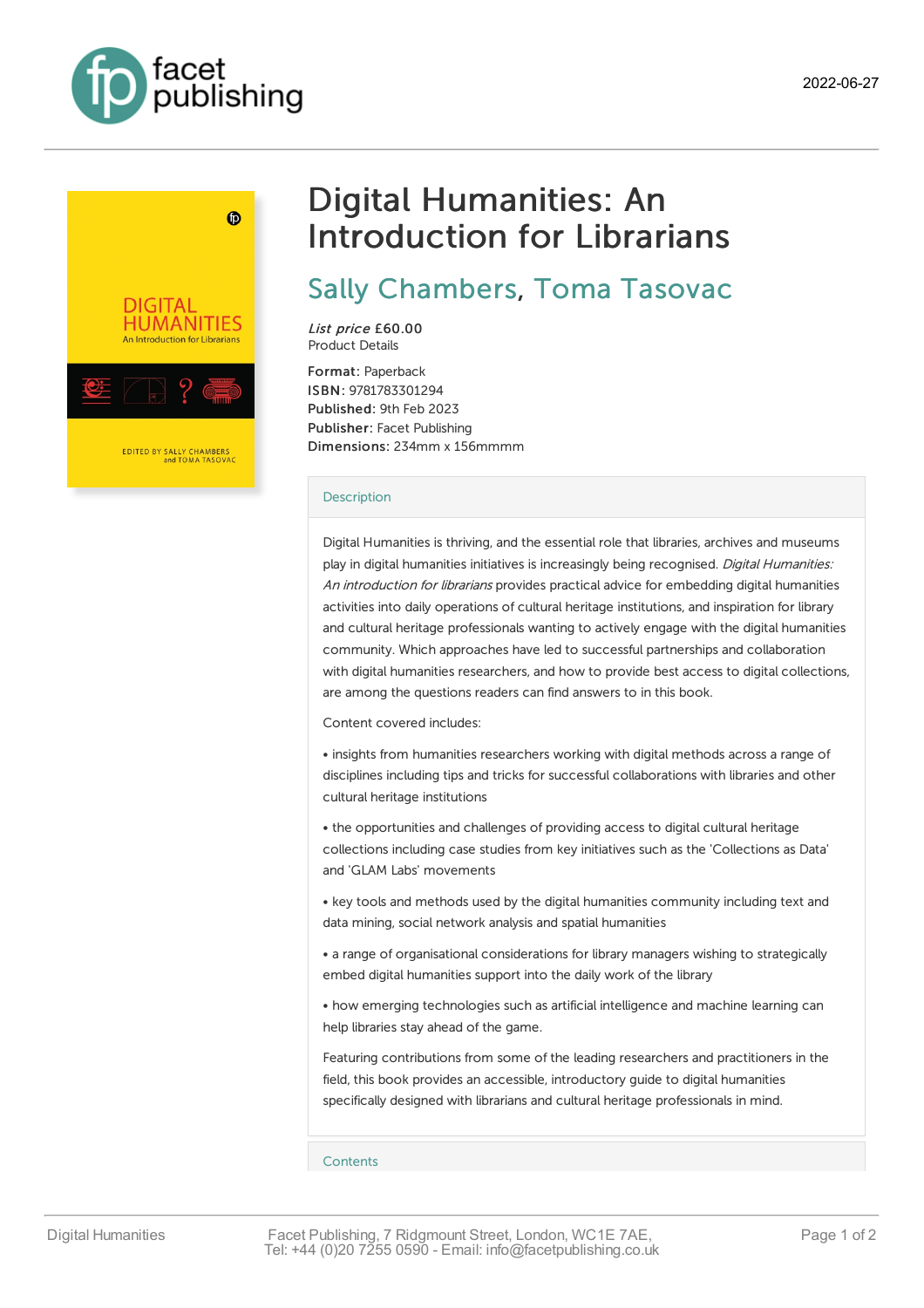



# Digital Humanities: An Introduction for Librarians

# Sally [Chambers](https://www.facetpublishing.co.uk/page/author-detail/?SF1=contributor&ST1=Sally%20Chambers), Toma [Tasovac](https://www.facetpublishing.co.uk/page/author-detail/?SF1=contributor&ST1=Toma%20Tasovac)

List price £60.00 Product Details

Format: Paperback ISBN: 9781783301294 Published: 9th Feb 2023 Publisher: Facet Publishing Dimensions: 234mm x 156mmmm

#### **[Description](javascript:void(0);)**

Digital Humanities is thriving, and the essential role that libraries, archives and museums play in digital humanities initiatives is increasingly being recognised. Digital Humanities: An introduction for librarians provides practical advice for embedding digital humanities activities into daily operations of cultural heritage institutions, and inspiration for library and cultural heritage professionals wanting to actively engage with the digital humanities community. Which approaches have led to successful partnerships and collaboration with digital humanities researchers, and how to provide best access to digital collections, are among the questions readers can find answers to in this book.

Content covered includes:

• insights from humanities researchers working with digital methods across a range of disciplines including tips and tricks for successful collaborations with libraries and other cultural heritage institutions

• the opportunities and challenges of providing access to digital cultural heritage collections including case studies from key initiatives such as the 'Collections as Data' and 'GLAM Labs' movements

• key tools and methods used by the digital humanities community including text and data mining, social network analysis and spatial humanities

• a range of organisational considerations for library managers wishing to strategically embed digital humanities support into the daily work of the library

• how emerging technologies such as artificial intelligence and machine learning can help libraries stay ahead of the game.

Featuring contributions from some of the leading researchers and practitioners in the field, this book provides an accessible, introductory guide to digital humanities specifically designed with librarians and cultural heritage professionals in mind.

### [Contents](javascript:void(0);)